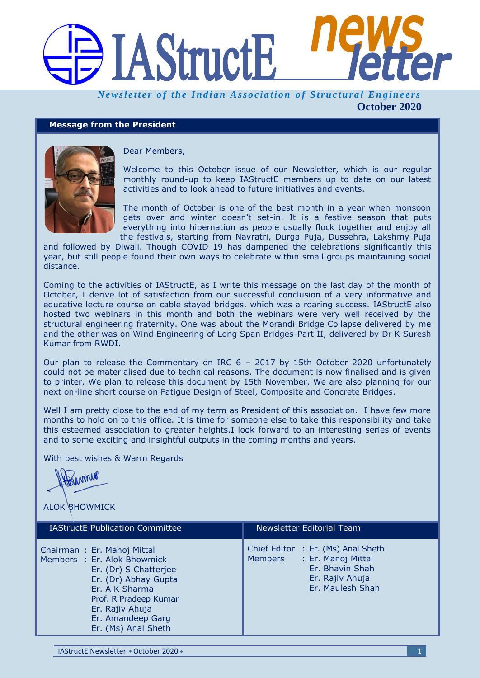# **IAStructE**

*Newsletter of the Indian Association of Structural Engineers* **October 2020**

## **Message from the President**



Dear Members,

Welcome to this October issue of our Newsletter, which is our regular monthly round-up to keep IAStructE members up to date on our latest activities and to look ahead to future initiatives and events.

The month of October is one of the best month in a year when monsoon gets over and winter doesn't set-in. It is a festive season that puts everything into hibernation as people usually flock together and enjoy all the festivals, starting from Navratri, Durga Puja, Dussehra, Lakshmy Puja

and followed by Diwali. Though COVID 19 has dampened the celebrations significantly this year, but still people found their own ways to celebrate within small groups maintaining social distance.

Coming to the activities of IAStructE, as I write this message on the last day of the month of October, I derive lot of satisfaction from our successful conclusion of a very informative and educative lecture course on cable stayed bridges, which was a roaring success. IAStructE also hosted two webinars in this month and both the webinars were very well received by the structural engineering fraternity. One was about the Morandi Bridge Collapse delivered by me and the other was on Wind Engineering of Long Span Bridges-Part II, delivered by Dr K Suresh Kumar from RWDI.

Our plan to release the Commentary on IRC 6 – 2017 by 15th October 2020 unfortunately could not be materialised due to technical reasons. The document is now finalised and is given to printer. We plan to release this document by 15th November. We are also planning for our next on-line short course on Fatigue Design of Steel, Composite and Concrete Bridges.

Well I am pretty close to the end of my term as President of this association. I have few more months to hold on to this office. It is time for someone else to take this responsibility and take this esteemed association to greater heights.I look forward to an interesting series of events and to some exciting and insightful outputs in the coming months and years.

With best wishes & Warm Regards

ALOK BHOWMICK

| <b>IAStructE Publication Committee</b>                                                                                                                                                                               | Newsletter Editorial Team                                                                                                     |
|----------------------------------------------------------------------------------------------------------------------------------------------------------------------------------------------------------------------|-------------------------------------------------------------------------------------------------------------------------------|
| Chairman: Er. Manoj Mittal<br>Members : Er. Alok Bhowmick<br>Er. (Dr) S Chatterjee<br>Er. (Dr) Abhay Gupta<br>Er. A K Sharma<br>Prof. R Pradeep Kumar<br>Er. Rajiv Ahuja<br>Er. Amandeep Garg<br>Er. (Ms) Anal Sheth | Chief Editor : Er. (Ms) Anal Sheth<br>: Er. Manoj Mittal<br>Members<br>Er. Bhavin Shah<br>Er. Rajiv Ahuja<br>Er. Maulesh Shah |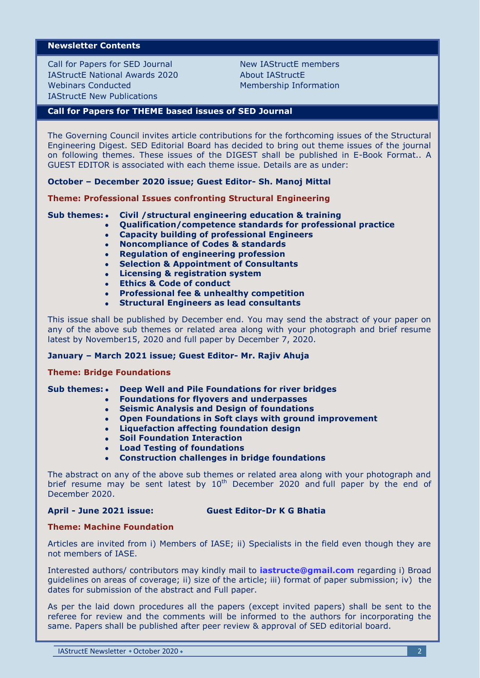## **Newsletter Contents**

Call for Papers for SED Journal IAStructE National Awards 2020 Webinars Conducted IAStructE New Publications

New IAStructE members About IAStructE Membership Information

### **Call for Papers for THEME based issues of SED Journal**

The Governing Council invites article contributions for the forthcoming issues of the Structural Engineering Digest. SED Editorial Board has decided to bring out theme issues of the journal on following themes. These issues of the DIGEST shall be published in E-Book Format.. A GUEST EDITOR is associated with each theme issue. Details are as under:

**October – December 2020 issue; Guest Editor- Sh. Manoj Mittal**

**Theme: Professional Issues confronting Structural Engineering**

**Sub themes: • Civil /structural engineering education & training** 

- **Qualification/competence standards for professional practice**
	- **Capacity building of professional Engineers**  $\bullet$
	- **Noncompliance of Codes & standards**  $\bullet$
	- **Regulation of engineering profession**
	- **Selection & Appointment of Consultants**
	- **Licensing & registration system**
	- **Ethics & Code of conduct**
	- **Professional fee & unhealthy competition**
	- **Structural Engineers as lead consultants**

This issue shall be published by December end. You may send the abstract of your paper on any of the above sub themes or related area along with your photograph and brief resume latest by November15, 2020 and full paper by December 7, 2020.

#### **January – March 2021 issue; Guest Editor- Mr. Rajiv Ahuja**

#### **Theme: Bridge Foundations**

#### **Sub themes: • Deep Well and Pile Foundations for river bridges**

- **Foundations for flyovers and underpasses**
- **Seismic Analysis and Design of foundations**  $\bullet$
- **Open Foundations in Soft clays with ground improvement**
- **Liquefaction affecting foundation design**
- **Soil Foundation Interaction**
- **Load Testing of foundations**  $\blacksquare$
- **Construction challenges in bridge foundations**

The abstract on any of the above sub themes or related area along with your photograph and brief resume may be sent latest by  $10<sup>th</sup>$  December 2020 and full paper by the end of December 2020.

#### **April - June 2021 issue: Guest Editor-Dr K G Bhatia**

## **Theme: Machine Foundation**

Articles are invited from i) Members of IASE; ii) Specialists in the field even though they are not members of IASE.

Interested authors/ contributors may kindly mail to **[iastructe@gmail.com](mailto:iastructe@gmail.com)** regarding i) Broad guidelines on areas of coverage; ii) size of the article; iii) format of paper submission; iv) the dates for submission of the abstract and Full paper.

As per the laid down procedures all the papers (except invited papers) shall be sent to the referee for review and the comments will be informed to the authors for incorporating the same. Papers shall be published after peer review & approval of SED editorial board.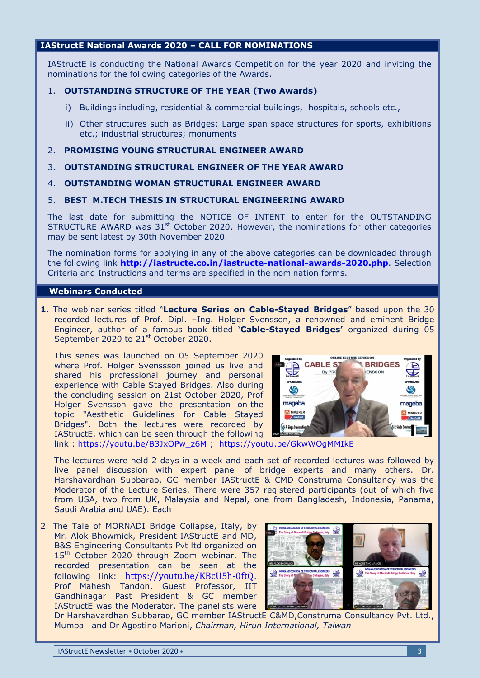# **IAStructE National Awards 2020 – CALL FOR NOMINATIONS**

IAStructE is conducting the National Awards Competition for the year 2020 and inviting the nominations for the following categories of the Awards.

## 1. **OUTSTANDING STRUCTURE OF THE YEAR (Two Awards)**

- i) Buildings including, residential & commercial buildings, hospitals, schools etc.,
- ii) Other structures such as Bridges; Large span space structures for sports, exhibitions etc.; industrial structures; monuments
- 2. **PROMISING YOUNG STRUCTURAL ENGINEER AWARD**
- 3. **OUTSTANDING STRUCTURAL ENGINEER OF THE YEAR AWARD**
- 4. **OUTSTANDING WOMAN STRUCTURAL ENGINEER AWARD**
- 5. **BEST M.TECH THESIS IN STRUCTURAL ENGINEERING AWARD**

The last date for submitting the NOTICE OF INTENT to enter for the OUTSTANDING STRUCTURE AWARD was  $31<sup>st</sup>$  October 2020. However, the nominations for other categories may be sent latest by 30th November 2020.

The nomination forms for applying in any of the above categories can be downloaded through the following link **<http://iastructe.co.in/iastructe-national-awards-2020.php>**. Selection Criteria and Instructions and terms are specified in the nomination forms.

#### **Webinars Conducted**

**1.** The webinar series titled "**Lecture Series on Cable-Stayed Bridges**" based upon the 30 recorded lectures of Prof. Dipl. –Ing. Holger Svensson, a renowned and eminent Bridge Engineer, author of a famous book titled "**Cable-Stayed Bridges'** organized during 05 September 2020 to 21<sup>st</sup> October 2020.

This series was launched on 05 September 2020 where Prof. Holger Svenssson joined us live and shared his professional journey and personal experience with Cable Stayed Bridges. Also during the concluding session on 21st October 2020, Prof Holger Svensson gave the presentation on the topic "Aesthetic Guidelines for Cable Stayed Bridges". Both the lectures were recorded by IAStructE, which can be seen through the following



link : [https://youtu.be/B3JxOPw\\_z6M](https://youtu.be/B3JxOPw_z6M) ; <https://youtu.be/GkwWOgMMIkE>

The lectures were held 2 days in a week and each set of recorded lectures was followed by live panel discussion with expert panel of bridge experts and many others. Dr. Harshavardhan Subbarao, GC member IAStructE & CMD Construma Consultancy was the Moderator of the Lecture Series. There were 357 registered participants (out of which five from USA, two from UK, Malaysia and Nepal, one from Bangladesh, Indonesia, Panama, Saudi Arabia and UAE). Each

2. The Tale of MORNADI Bridge Collapse, Italy, by Mr. Alok Bhowmick, President IAStructE and MD, B&S Engineering Consultants Pvt ltd organized on 15<sup>th</sup> October 2020 through Zoom webinar. The recorded presentation can be seen at the following link: <https://youtu.be/KBcU5h-0ftQ>. Prof Mahesh Tandon, Guest Professor, IIT Gandhinagar Past President & GC member IAStructE was the Moderator. The panelists were



Dr Harshavardhan Subbarao, GC member IAStructE C&MD,Construma Consultancy Pvt. Ltd., Mumbai and Dr Agostino Marioni, *Chairman, Hirun International, Taiwan*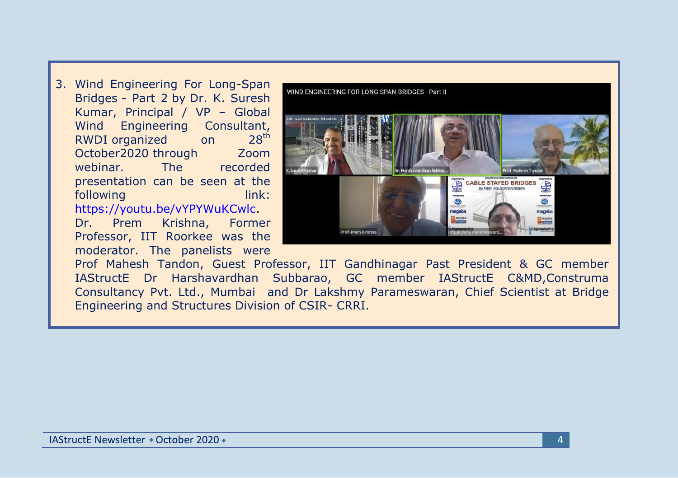3. Wind Engineering For Long-Span Bridges - Part 2 by Dr. K. Suresh Kumar, Principal / VP – Global Wind Engineering Consultant, RWDI organized on 28<sup>th</sup> October2020 through Zoom webinar. The recorded presentation can be seen at the following link: [https://youtu.be/vYPYWuKCwlc.](https://youtu.be/vYPYWuKCwlc) Dr. Prem Krishna, Former Professor, IIT Roorkee was the

moderator. The panelists were

WIND ENGINEERING FOR LONG SPAN BRIDGES - Part II Prof. Mahesh Tandor CABLE STAYED BRIDGES Prof. Prem Krishna

Prof Mahesh Tandon, Guest Professor, IIT Gandhinagar Past President & GC member IAStructE Dr Harshavardhan Subbarao, GC member IAStructE C&MD,Construma Consultancy Pvt. Ltd., Mumbai and Dr Lakshmy Parameswaran, Chief Scientist at Bridge Engineering and Structures Division of CSIR- CRRI.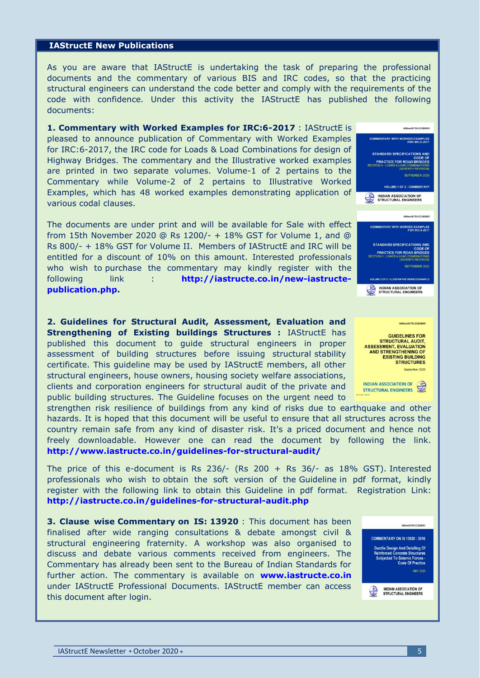#### **IAStructE New Publications**

As you are aware that IAStructE is undertaking the task of preparing the professional documents and the commentary of various BIS and IRC codes, so that the practicing structural engineers can understand the code better and comply with the requirements of the code with confidence. Under this activity the IAStructE has published the following documents:

**1. Commentary with Worked Examples for IRC:6-2017** : IAStructE is pleased to announce publication of Commentary with Worked Examples for IRC:6-2017, the IRC code for Loads & Load Combinations for design of Highway Bridges. The commentary and the Illustrative worked examples are printed in two separate volumes. Volume-1 of 2 pertains to the Commentary while Volume-2 of 2 pertains to Illustrative Worked Examples, which has 48 worked examples demonstrating application of various codal clauses.

The documents are under print and will be available for Sale with effect from 15th November 2020 @ Rs 1200/- + 18% GST for Volume 1, and @ Rs 800/- + 18% GST for Volume II. Members of IAStructE and IRC will be entitled for a discount of 10% on this amount. Interested professionals who wish to purchase the commentary may kindly register with the following link : **[http://iastructe.co.in/new-iastructe](http://iastructe.co.in/new-iastructe-publication.php)[publication.php.](http://iastructe.co.in/new-iastructe-publication.php)**

**2. Guidelines for Structural Audit, Assessment, Evaluation and Strengthening of Existing buildings Structures : IAStructE has** published this document to guide structural engineers in proper assessment of building structures before issuing structural stability certificate. This guideline may be used by IAStructE members, all other structural engineers, house owners, housing society welfare associations, clients and corporation engineers for structural audit of the private and public building structures. The Guideline focuses on the urgent need to

strengthen risk resilience of buildings from any kind of risks due to earthquake and other hazards. It is hoped that this document will be useful to ensure that all structures across the country remain safe from any kind of disaster risk. It's a priced document and hence not freely downloadable. However one can read the document by following the link. **<http://www.iastructe.co.in/guidelines-for-structural-audit/>**

The price of this e-document is Rs  $236/-$  (Rs  $200 +$  Rs  $36/-$  as 18% GST). Interested professionals who wish to obtain the soft version of the Guideline in pdf format, kindly register with the following link to obtain this Guideline in pdf format. Registration Link: **<http://iastructe.co.in/guidelines-for-structural-audit.php>**

**3. Clause wise Commentary on IS: 13920** : This document has been finalised after wide ranging consultations & debate amongst civil & structural engineering fraternity. A workshop was also organised to discuss and debate various comments received from engineers. The Commentary has already been sent to the Bureau of Indian Standards for further action. The commentary is available on **[www.iastructe.co.in](http://www.iastructe.co.in/)** under IAStructE Professional Documents. IAStructE member can access this document after login.



INDIAN ASSOCIATION OF  $\overline{\mathbb{G}}$ <br>STRUCTURAL ENGINEERS



INDIAN ASSOCIATION OF<br>STRUCTURAL ENGINEERS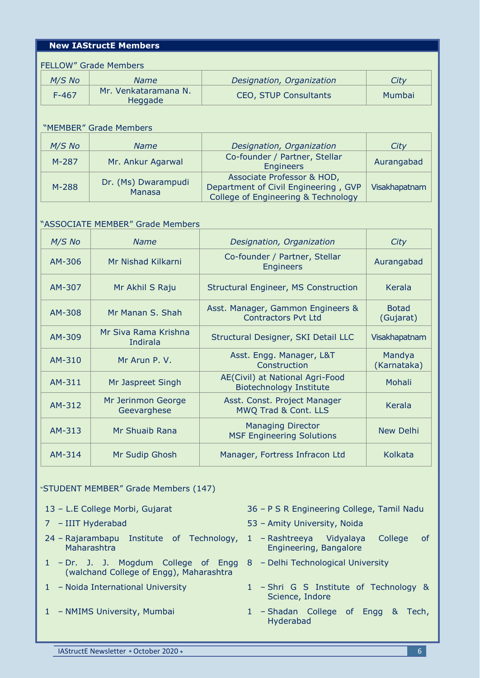# **New IAStructE Members**

| <b>FELLOW" Grade Members</b> |                                 |                              |        |  |
|------------------------------|---------------------------------|------------------------------|--------|--|
| $M/S$ No                     | Name                            | Designation, Organization    | City   |  |
| $F-467$                      | Mr. Venkataramana N.<br>Heggade | <b>CEO, STUP Consultants</b> | Mumbai |  |

#### "MEMBER" Grade Members

| $M/S$ No | <b>Name</b>                          | Designation, Organization                                                                                 | City          |
|----------|--------------------------------------|-----------------------------------------------------------------------------------------------------------|---------------|
| M-287    | Mr. Ankur Agarwal                    | Co-founder / Partner, Stellar<br><b>Engineers</b>                                                         | Aurangabad    |
| M-288    | Dr. (Ms) Dwarampudi<br><b>Manasa</b> | Associate Professor & HOD,<br>Department of Civil Engineering, GVP<br>College of Engineering & Technology | Visakhapatnam |

## "ASSOCIATE MEMBER" Grade Members

| $M/S$ No | <b>Name</b>                       | Designation, Organization                                         | City                      |
|----------|-----------------------------------|-------------------------------------------------------------------|---------------------------|
| AM-306   | Mr Nishad Kilkarni                | Co-founder / Partner, Stellar<br><b>Engineers</b>                 | Aurangabad                |
| AM-307   | Mr Akhil S Raju                   | Structural Engineer, MS Construction                              | Kerala                    |
| AM-308   | Mr Manan S. Shah                  | Asst. Manager, Gammon Engineers &<br><b>Contractors Pvt Ltd</b>   | <b>Botad</b><br>(Gujarat) |
| AM-309   | Mr Siva Rama Krishna<br>Indirala  | Structural Designer, SKI Detail LLC                               | Visakhapatnam             |
| AM-310   | Mr Arun P. V.                     | Asst. Engg. Manager, L&T<br>Construction                          | Mandya<br>(Karnataka)     |
| AM-311   | Mr Jaspreet Singh                 | AE(Civil) at National Agri-Food<br><b>Biotechnology Institute</b> | Mohali                    |
| AM-312   | Mr Jerinmon George<br>Geevarghese | Asst. Const. Project Manager<br>MWQ Trad & Cont. LLS              | <b>Kerala</b>             |
| AM-313   | Mr Shuaib Rana                    | <b>Managing Director</b><br><b>MSF Engineering Solutions</b>      | <b>New Delhi</b>          |
| AM-314   | Mr Sudip Ghosh                    | Manager, Fortress Infracon Ltd                                    | Kolkata                   |

### "STUDENT MEMBER" Grade Members (147)

- 
- 
- 24 Rajarambapu Institute of Technology, 1 Rashtreeya Maharashtra
- 1 Dr. J. J. Mogdum College of Engg 8 Delhi Technological University (walchand College of Engg), Maharashtra
- 
- 
- 13 L.E College Morbi, Gujarat 36 P S R Engineering College, Tamil Nadu
- 7 IIIT Hyderabad 53 Amity University, Noida
	- Vidyalaya College of Engineering, Bangalore
	-
- 1 Noida International University 1 Shri G S Institute of Technology & Science, Indore
- 1 NMIMS University, Mumbai 1 Shadan College of Engg & Tech, Hyderabad